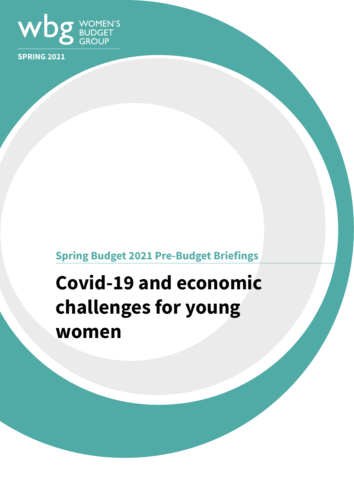

**SPRING 2021**

# **Spring Budget 2021 Pre-Budget Briefings**

# **Covid-19 and economic challenges for young women**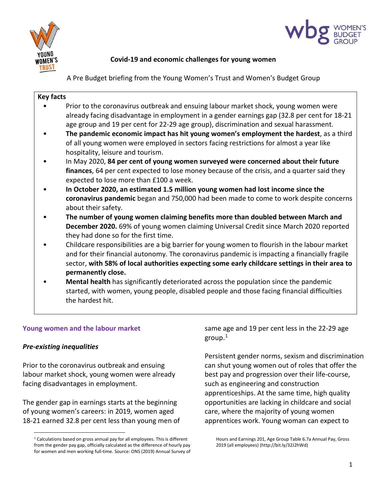



# **Covid-19 and economic challenges for young women**

A Pre Budget briefing from the Young Women's Trust and Women's Budget Group

| <b>Key facts</b> |                                                                                                |
|------------------|------------------------------------------------------------------------------------------------|
|                  | Prior to the coronavirus outbreak and ensuing labour market shock, young women were            |
|                  | already facing disadvantage in employment in a gender earnings gap (32.8 per cent for 18-21    |
|                  | age group and 19 per cent for 22-29 age group), discrimination and sexual harassment.          |
|                  | The pandemic economic impact has hit young women's employment the hardest, as a third          |
|                  | of all young women were employed in sectors facing restrictions for almost a year like         |
|                  | hospitality, leisure and tourism.                                                              |
|                  | In May 2020, 84 per cent of young women surveyed were concerned about their future             |
|                  | finances, 64 per cent expected to lose money because of the crisis, and a quarter said they    |
|                  | expected to lose more than £100 a week.                                                        |
|                  | In October 2020, an estimated 1.5 million young women had lost income since the                |
|                  | coronavirus pandemic began and 750,000 had been made to come to work despite concerns          |
|                  | about their safety.                                                                            |
|                  | The number of young women claiming benefits more than doubled between March and                |
|                  | December 2020. 69% of young women claiming Universal Credit since March 2020 reported          |
|                  | they had done so for the first time.                                                           |
|                  | Childcare responsibilities are a big barrier for young women to flourish in the labour market  |
|                  | and for their financial autonomy. The coronavirus pandemic is impacting a financially fragile  |
|                  | sector, with 58% of local authorities expecting some early childcare settings in their area to |
|                  | permanently close.                                                                             |
|                  | <b>Mental health</b> has significantly deteriorated across the population since the pandemic   |
|                  | started, with women, young people, disabled people and those facing financial difficulties     |
|                  | the hardest hit.                                                                               |
|                  |                                                                                                |

# **Young women and the labour market**

# *Pre-existing inequalities*

Prior to the coronavirus outbreak and ensuing labour market shock, young women were already facing disadvantages in employment.

The gender gap in earnings starts at the beginning of young women's careers: in 2019, women aged 18-21 earned 32.8 per cent less than young men of

same age and 19 per cent less in the 22-29 age group[.1](#page-1-0)

Persistent gender norms, sexism and discrimination can shut young women out of roles that offer the best pay and progression over their life-course, such as engineering and construction apprenticeships. At the same time, high quality opportunities are lacking in childcare and social care, where the majority of young women apprentices work. Young woman can expect to

<span id="page-1-0"></span><sup>&</sup>lt;sup>1</sup> Calculations based on gross annual pay for all employees. This is different from the gender pay gap, officially calculated as the difference of hourly pay for women and men working full-time. Source: ONS (2019) Annual Survey of

Hours and Earnings 201, Age Group Table 6.7a Annual Pay, Gross 2019 (all employees) (http://bit.ly/32J2hWd)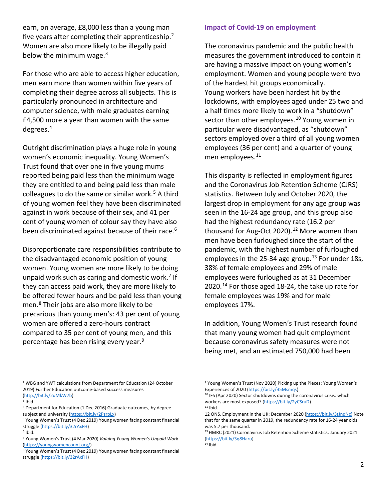earn, on average, £8,000 less than a young man five years after completing their apprenticeship.[2](#page-2-0) Women are also more likely to be illegally paid below the minimum wage. $3$ 

For those who are able to access higher education, men earn more than women within five years of completing their degree across all subjects. This is particularly pronounced in architecture and computer science, with male graduates earning £4,500 more a year than women with the same degrees. [4](#page-2-2)

Outright discrimination plays a huge role in young women's economic inequality. Young Women's Trust found that over one in five young mums reported being paid less than the minimum wage they are entitled to and being paid less than male colleagues to do the same or similar work. $5$  A third of young women feel they have been discriminated against in work because of their sex, and 41 per cent of young women of colour say they have also been discriminated against because of their race.<sup>[6](#page-2-4)</sup>

Disproportionate care responsibilities contribute to the disadvantaged economic position of young women. Young women are more likely to be doing unpaid work such as caring and domestic work. [7](#page-2-5) If they can access paid work, they are more likely to be offered fewer hours and be paid less than young men[.8](#page-2-6) Their jobs are also more likely to be precarious than young men's: 43 per cent of young women are offered a zero-hours contract compared to 35 per cent of young men, and this percentage has been rising every year[.9](#page-2-0)

#### **Impact of Covid-19 on employment**

The coronavirus pandemic and the public health measures the government introduced to contain it are having a massive impact on young women's employment. Women and young people were two of the hardest hit groups economically. Young workers have been hardest hit by the lockdowns, with employees aged under 25 two and a half times more likely to work in a "shutdown" sector than other employees.<sup>[10](#page-2-7)</sup> Young women in particular were disadvantaged, as "shutdown" sectors employed over a third of all young women employees (36 per cent) and a quarter of young men employees.<sup>[11](#page-2-2)</sup>

This disparity is reflected in employment figures and the Coronavirus Job Retention Scheme (CJRS) statistics. Between July and October 2020, the largest drop in employment for any age group was seen in the 16-24 age group, and this group also had the highest redundancy rate (16.2 per thousand for Aug-Oct 2020). [12](#page-2-8) More women than men have been furloughed since the start of the pandemic, with the highest number of furloughed employees in the 25-34 age group.<sup>[13](#page-2-4)</sup> For under 18s, 38% of female employees and 29% of male employees were furloughed as at 31 December 2020.<sup>[14](#page-2-9)</sup> For those aged 18-24, the take up rate for female employees was 19% and for male employees 17%.

In addition, Young Women's Trust research found that many young women had quit employment because coronavirus safety measures were not being met, and an estimated 750,000 had been

<span id="page-2-0"></span><sup>2</sup> WBG and YWT calculations from Department for Education (24 October 2019) Further Education outcome-based success measures [\(http://bit.ly/2uMkW7b\)](http://bit.ly/2uMkW7b) 3 Ibid.

<span id="page-2-7"></span>

<span id="page-2-2"></span><span id="page-2-1"></span><sup>4</sup> Department for Education (1 Dec 2016) Graduate outcomes, by degree

<span id="page-2-8"></span><span id="page-2-3"></span>subject and university [\(https://bit.ly/2PsrpLx\)](https://bit.ly/2PsrpLx)<br><sup>5</sup> Young Women's Trust (4 Dec 2019) Young women facing constant financial struggle (https://bit.ly/32rAxFH)

<span id="page-2-5"></span><span id="page-2-4"></span><sup>7</sup> Young Women's Trust (4 Mar 2020) *Valuing Young Women's Unpaid Work* [\(https://youngwomencount.org/\)](https://youngwomencount.org/)

<span id="page-2-9"></span><span id="page-2-6"></span><sup>8</sup> Young Women's Trust (4 Dec 2019) Young women facing constant financial struggle [\(https://bit.ly/32rAxFH\)](https://bit.ly/32rAxFH) 

<sup>&</sup>lt;sup>9</sup> Young Women's Trust (Nov 2020) Picking up the Pieces: Young Women's Experiences of 2020 [\(https://bit.ly/35Msmqs\)](https://bit.ly/35Msmqs)

<sup>&</sup>lt;sup>10</sup> IFS (Apr 2020) Sector shutdowns during the coronavirus crisis: which workers are most exposed? [\(https://bit.ly/2yCSruD\)](https://bit.ly/2yCSruD)  $11$  Ibid.

<sup>12</sup> ONS, Employment in the UK: December 2020 [\(https://bit.ly/3tJnqNc\)](https://bit.ly/3tJnqNc) Note that for the same quarter in 2019, the redundancy rate for 16-24 year olds was 5.7 per thousand.

<sup>&</sup>lt;sup>13</sup> HMRC (2021) Coronavirus Job Retention Scheme statistics: January 2021 [\(https://bit.ly/3q8Haru\)](https://bit.ly/3q8Haru) 14 Ibid.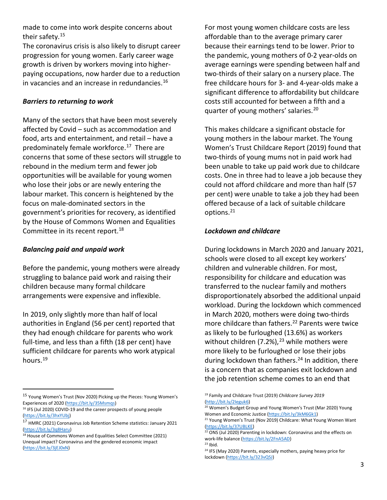made to come into work despite concerns about their safety.[15](#page-3-0)

The coronavirus crisis is also likely to disrupt career progression for young women. Early career wage growth is driven by workers moving into higherpaying occupations, now harder due to a reduction in vacancies and an increase in redundancies. [16](#page-3-1)

#### *Barriers to returning to work*

Many of the sectors that have been most severely affected by Covid – such as accommodation and food, arts and entertainment, and retail – have a predominately female workforce.<sup>[17](#page-3-2)</sup> There are concerns that some of these sectors will struggle to rebound in the medium term and fewer job opportunities will be available for young women who lose their jobs or are newly entering the labour market. This concern is heightened by the focus on male-dominated sectors in the government's priorities for recovery, as identified by the House of Commons Women and Equalities Committee in its recent report.<sup>[18](#page-3-3)</sup>

# *Balancing paid and unpaid work*

Before the pandemic, young mothers were already struggling to balance paid work and raising their children because many formal childcare arrangements were expensive and inflexible.

In 2019, only slightly more than half of local authorities in England (56 per cent) reported that they had enough childcare for parents who work full-time, and less than a fifth (18 per cent) have sufficient childcare for parents who work atypical hours[.19](#page-3-0)

For most young women childcare costs are less affordable than to the average primary carer because their earnings tend to be lower. Prior to the pandemic, young mothers of 0-2 year-olds on average earnings were spending between half and two-thirds of their salary on a nursery place. The free childcare hours for 3- and 4-year-olds make a significant difference to affordability but childcare costs still accounted for between a fifth and a quarter of young mothers' salaries.<sup>[20](#page-3-4)</sup>

This makes childcare a significant obstacle for young mothers in the labour market. The Young Women's Trust Childcare Report (2019) found that two-thirds of young mums not in paid work had been unable to take up paid work due to childcare costs. One in three had to leave a job because they could not afford childcare and more than half (57 per cent) were unable to take a job they had been offered because of a lack of suitable childcare options[.21](#page-3-5)

### *Lockdown and childcare*

During lockdowns in March 2020 and January 2021, schools were closed to all except key workers' children and vulnerable children. For most, responsibility for childcare and education was transferred to the nuclear family and mothers disproportionately absorbed the additional unpaid workload. During the lockdown which commenced in March 2020, mothers were doing two-thirds more childcare than fathers. [22](#page-3-6) Parents were twice as likely to be furloughed (13.6%) as workers without children (7.2%), $^{23}$  $^{23}$  $^{23}$  while mothers were more likely to be furloughed or lose their jobs during lockdown than fathers.<sup>[24](#page-3-8)</sup> In addition, there is a concern that as companies exit lockdown and the job retention scheme comes to an end that

 $23$  Ibid.

<span id="page-3-0"></span><sup>15</sup> Young Women's Trust (Nov 2020) Picking up the Pieces: Young Women's Experiences of 2020 [\(https://bit.ly/35Msmqs\)](https://bit.ly/35Msmqs)

<span id="page-3-4"></span><span id="page-3-1"></span><sup>&</sup>lt;sup>16</sup> IFS (Jul 2020) COVID-19 and the career prospects of young people [\(https://bit.ly/3hxYUbj\)](https://bit.ly/3hxYUbj)

<span id="page-3-5"></span><span id="page-3-2"></span><sup>17</sup> HMRC (2021) Coronavirus Job Retention Scheme statistics: January 2021 [\(https://bit.ly/3q8Haru\)](https://bit.ly/3q8Haru)

<span id="page-3-8"></span><span id="page-3-7"></span><span id="page-3-6"></span><span id="page-3-3"></span><sup>&</sup>lt;sup>18</sup> House of Commons Women and Equalities Select Committee (2021) Unequal impact? Coronavirus and the gendered economic impact [\(https://bit.ly/3jEJ0xN\)](https://bit.ly/3jEJ0xN)

<sup>19</sup> Family and Childcare Trust (2019) *Childcare Survey 2019* [\(http://bit.ly/2Ieguk6\)](http://bit.ly/2Ieguk6)

<sup>&</sup>lt;sup>20</sup> Women's Budget Group and Young Women's Trust (Mar 2020) Young Women and Economic Justice [\(https://bit.ly/3kM6Gk1\)](https://bit.ly/3kM6Gk1)<br><sup>21</sup> Young Women's Trust (Nov 2019) Childcare: What Young Women Want

[<sup>\(</sup>https://bit.ly/37UBLKE\)](https://bit.ly/37UBLKE)<br><sup>22</sup> ONS (Jul 2020) Parenting in lockdown: Coronavirus and the effects on

work-life balance [\(https://bit.ly/2FnA5AD\)](https://bit.ly/2FnA5AD)

<sup>&</sup>lt;sup>24</sup> IFS (May 2020) Parents, especially mothers, paying heavy price for lockdown [\(https://bit.ly/323vQSJ\)](https://bit.ly/323vQSJ)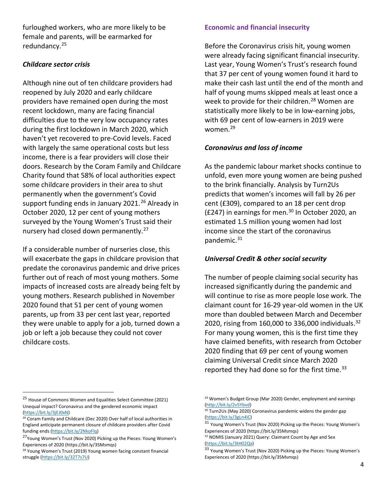furloughed workers, who are more likely to be female and parents, will be earmarked for redundancy[.25](#page-4-0)

## *Childcare sector crisis*

Although nine out of ten childcare providers had reopened by July 2020 and early childcare providers have remained open during the most recent lockdown, many are facing financial difficulties due to the very low occupancy rates during the first lockdown in March 2020, which haven't yet recovered to pre-Covid levels. Faced with largely the same operational costs but less income, there is a fear providers will close their doors. Research by the Coram Family and Childcare Charity found that 58% of local authorities expect some childcare providers in their area to shut permanently when the government's Covid support funding ends in January 2021.<sup>[26](#page-4-1)</sup> Already in October 2020, 12 per cent of young mothers surveyed by the Young Women's Trust said their nursery had closed down permanently.<sup>[27](#page-4-2)</sup>

If a considerable number of nurseries close, this will exacerbate the gaps in childcare provision that predate the coronavirus pandemic and drive prices further out of reach of most young mothers. Some impacts of increased costs are already being felt by young mothers. Research published in November 2020 found that 51 per cent of young women parents, up from 33 per cent last year, reported they were unable to apply for a job, turned down a job or left a job because they could not cover childcare costs.

### **Economic and financial insecurity**

Before the Coronavirus crisis hit, young women were already facing significant financial insecurity. Last year, Young Women's Trust's research found that 37 per cent of young women found it hard to make their cash last until the end of the month and half of young mums skipped meals at least once a week to provide for their children.<sup>[28](#page-4-3)</sup> Women are statistically more likely to be in low-earning jobs, with 69 per cent of low-earners in 2019 were women.<sup>29</sup>

### *Coronavirus and loss of income*

As the pandemic labour market shocks continue to unfold, even more young women are being pushed to the brink financially. Analysis by Turn2Us predicts that women's incomes will fall by 26 per cent (£309), compared to an 18 per cent drop (£247) in earnings for men. $30$  In October 2020, an estimated 1.5 million young women had lost income since the start of the coronavirus pandemic. [31](#page-4-5)

#### *Universal Credit & other social security*

The number of people claiming social security has increased significantly during the pandemic and will continue to rise as more people lose work. The claimant count for 16-29 year-old women in the UK more than doubled between March and December 2020, rising from 160,000 to 336,000 individuals. [32](#page-4-2) For many young women, this is the first time they have claimed benefits, with research from October 2020 finding that 69 per cent of young women claiming Universal Credit since March 2020 reported they had done so for the first time. $33$ 

<span id="page-4-0"></span><sup>25</sup> House of Commons Women and Equalities Select Committee (2021) Unequal impact? Coronavirus and the gendered economic impact [\(https://bit.ly/3jEJ0xN\)](https://bit.ly/3jEJ0xN)

<span id="page-4-5"></span><span id="page-4-4"></span><span id="page-4-1"></span><sup>&</sup>lt;sup>26</sup> Coram Family and Childcare (Dec 2020) Over half of local authorities in England anticipate permanent closure of childcare providers after Covid funding ends [\(https://bit.ly/2NkoFlq\)](https://bit.ly/2NkoFlq)

<span id="page-4-2"></span><sup>27</sup>Young Women's Trust (Nov 2020) Picking up the Pieces: Young Women's Experiences of 2020 (https://bit.ly/35Msmqs)

<span id="page-4-6"></span><span id="page-4-3"></span><sup>&</sup>lt;sup>28</sup> Young Women's Trust (2019) Young women facing constant financial struggle [\(https://bit.ly/32T7s7U\)](https://bit.ly/32T7s7U) 

<sup>&</sup>lt;sup>29</sup> Women's Budget Group (Mar 2020) Gender, employment and earnings [\(http://bit.ly/2v5Ybvd\)](http://bit.ly/2v5Ybvd)

<sup>&</sup>lt;sup>30</sup> Turn2Us (May 2020) Coronavirus pandemic widens the gender gap [\(https://bit.ly/3gLn4iC\)](https://bit.ly/3gLn4iC) 

 $31$  Young Women's Trust (Nov 2020) Picking up the Pieces: Young Women's Experiences of 2020 (https://bit.ly/35Msmqs)

<sup>&</sup>lt;sup>32</sup> NOMIS (January 2021) Query: Claimant Count by Age and Sex [\(https://bit.ly/3tH02Qx\)](https://bit.ly/3tH02Qx) 

<sup>33</sup> Young Women's Trust (Nov 2020) Picking up the Pieces: Young Women's Experiences of 2020 (https://bit.ly/35Msmqs)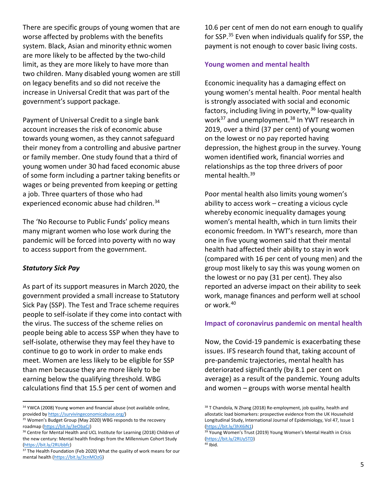There are specific groups of young women that are worse affected by problems with the benefits system. Black, Asian and minority ethnic women are more likely to be affected by the two-child limit, as they are more likely to have more than two children. Many disabled young women are still on legacy benefits and so did not receive the increase in Universal Credit that was part of the government's support package.

Payment of Universal Credit to a single bank account increases the risk of economic abuse towards young women, as they cannot safeguard their money from a controlling and abusive partner or family member. One study found that a third of young women under 30 had faced economic abuse of some form including a partner taking benefits or wages or being prevented from keeping or getting a job. Three quarters of those who had experienced economic abuse had children.<sup>[34](#page-5-0)</sup>

The 'No Recourse to Public Funds' policy means many migrant women who lose work during the pandemic will be forced into poverty with no way to access support from the government.

#### *Statutory Sick Pay*

As part of its support measures in March 2020, the government provided a small increase to Statutory Sick Pay (SSP). The Test and Trace scheme requires people to self-isolate if they come into contact with the virus. The success of the scheme relies on people being able to access SSP when they have to self-isolate, otherwise they may feel they have to continue to go to work in order to make ends meet. Women are less likely to be eligible for SSP than men because they are more likely to be earning below the qualifying threshold. WBG calculations find that 15.5 per cent of women and

10.6 per cent of men do not earn enough to qualify for SSP.[35](#page-5-1) Even when individuals qualify for SSP, the payment is not enough to cover basic living costs.

#### **Young women and mental health**

Economic inequality has a damaging effect on young women's mental health. Poor mental health is strongly associated with social and economic factors, including living in poverty,  $36$  low-quality work<sup>[37](#page-5-3)</sup> and unemployment.<sup>[38](#page-5-0)</sup> In YWT research in 2019, over a third (37 per cent) of young women on the lowest or no pay reported having depression, the highest group in the survey. Young women identified work, financial worries and relationships as the top three drivers of poor mental health.<sup>[39](#page-5-2)</sup>

Poor mental health also limits young women's ability to access work – creating a vicious cycle whereby economic inequality damages young women's mental health, which in turn limits their economic freedom. In YWT's research, more than one in five young women said that their mental health had affected their ability to stay in work (compared with 16 per cent of young men) and the group most likely to say this was young women on the lowest or no pay (31 per cent). They also reported an adverse impact on their ability to seek work, manage finances and perform well at school or work.[40](#page-5-4)

#### **Impact of coronavirus pandemic on mental health**

Now, the Covid-19 pandemic is exacerbating these issues. IFS research found that, taking account of pre-pandemic trajectories, mental health has deteriorated significantly (by 8.1 per cent on average) as a result of the pandemic. Young adults and women – groups with worse mental health

<span id="page-5-0"></span><sup>&</sup>lt;sup>34</sup> YWCA (2008) Young women and financial abuse (not available online, provided b[y https://survivingeconomicabuse.org/\)](https://survivingeconomicabuse.org/)

<span id="page-5-1"></span><sup>&</sup>lt;sup>35</sup> Women's Budget Group (May 2020) WBG responds to the recovery

<span id="page-5-2"></span>roadmap (https://bit.ly/3eObaCJ)<br><sup>36</sup> Centre for Mental Health and UCL Institute for Learning (2018) Children of the new century: Mental health findings from the Millennium Cohort Study [\(https://bit.ly/2RUbbfc\)](https://bit.ly/2RUbbfc)<br><sup>37</sup> The Health Foundation (Feb 2020) What the quality of work means for our

<span id="page-5-4"></span><span id="page-5-3"></span>mental health [\(https://bit.ly/3cnMOzG\)](https://bit.ly/3cnMOzG)

<sup>&</sup>lt;sup>38</sup> T Chandola, N Zhang (2018) Re-employment, job quality, health and allostatic load biomarkers: prospective evidence from the UK Household Longitudinal Study, International Journal of Epidemiology, Vol 47, Issue 1 (https://bit.ly/3hX6iN1)<br><sup>39</sup> Young Women's Trust (2019) Young Women's Mental Health in Crisis

[<sup>\(</sup>https://bit.ly/2RUy5TD\)](https://bit.ly/2RUy5TD)<br><sup>40</sup> Ibid.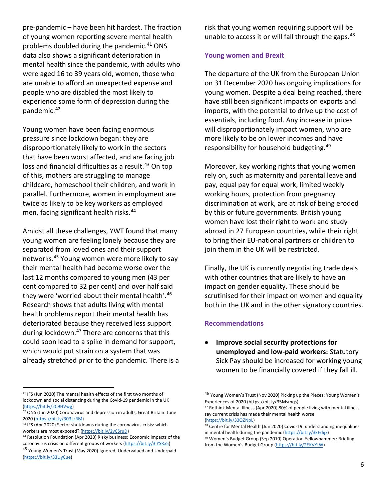pre-pandemic – have been hit hardest. The fraction of young women reporting severe mental health problems doubled during the pandemic.<sup>[41](#page-6-0)</sup> ONS data also shows a significant deterioration in mental health since the pandemic, with adults who were aged 16 to 39 years old, women, those who are unable to afford an unexpected expense and people who are disabled the most likely to experience some form of depression during the pandemic.[42](#page-6-1)

Young women have been facing enormous pressure since lockdown began: they are disproportionately likely to work in the sectors that have been worst affected, and are facing job loss and financial difficulties as a result.<sup>[43](#page-6-2)</sup> On top of this, mothers are struggling to manage childcare, homeschool their children, and work in parallel. Furthermore, women in employment are twice as likely to be key workers as employed men, facing significant health risks.<sup>[44](#page-6-3)</sup>

Amidst all these challenges, YWT found that many young women are feeling lonely because they are separated from loved ones and their support networks.[45](#page-6-4) Young women were more likely to say their mental health had become worse over the last 12 months compared to young men (43 per cent compared to 32 per cent) and over half said they were 'worried about their mental health'.<sup>[46](#page-6-0)</sup> Research shows that adults living with mental health problems report their mental health has deteriorated because they received less support during lockdown.<sup>[47](#page-6-5)</sup> There are concerns that this could soon lead to a spike in demand for support, which would put strain on a system that was already stretched prior to the pandemic. There is a risk that young women requiring support will be unable to access it or will fall through the gaps.<sup>[48](#page-6-6)</sup>

#### **Young women and Brexit**

The departure of the UK from the European Union on 31 December 2020 has ongoing implications for young women. Despite a deal being reached, there have still been significant impacts on exports and imports, with the potential to drive up the cost of essentials, including food. Any increase in prices will disproportionately impact women, who are more likely to be on lower incomes and have responsibility for household budgeting.<sup>[49](#page-6-7)</sup>

Moreover, key working rights that young women rely on, such as maternity and parental leave and pay, equal pay for equal work, limited weekly working hours, protection from pregnancy discrimination at work, are at risk of being eroded by this or future governments. British young women have lost their right to work and study abroad in 27 European countries, while their right to bring their EU-national partners or children to join them in the UK will be restricted.

Finally, the UK is currently negotiating trade deals with other countries that are likely to have an impact on gender equality. These should be scrutinised for their impact on women and equality both in the UK and in the other signatory countries.

#### **Recommendations**

• **Improve social security protections for unemployed and low-paid workers:** Statutory Sick Pay should be increased for working young women to be financially covered if they fall ill.

<span id="page-6-0"></span><sup>41</sup> IFS (Jun 2020) The mental health effects of the first two months of lockdown and social distancing during the Covid-19 pandemic in the UK (https://bit.ly/2C9HVwg)<br><sup>42</sup> ONS (Jun 2020) Coronavirus and depression in adults, Great Britain: June

<span id="page-6-5"></span><span id="page-6-1"></span><sup>2020 (</sup>https://bit.ly/303LrRM)<br><sup>43</sup> IFS (Apr 2020) Sector shutdowns during the coronavirus crisis: which

<span id="page-6-6"></span><span id="page-6-2"></span>

<span id="page-6-7"></span><span id="page-6-3"></span>workers are most exposed? [\(https://bit.ly/2yCSruD\)](https://bit.ly/2yCSruD)<br><sup>44</sup> Resolution Foundation (Apr 2020) Risky business: Economic impacts of the coronavirus crisis on different groups of workers [\(https://bit.ly/3iYSRx5\)](https://bit.ly/3iYSRx5) 

<span id="page-6-4"></span><sup>&</sup>lt;sup>45</sup> Young Women's Trust (May 2020) Ignored, Undervalued and Underpaid [\(https://bit.ly/33UyCue\)](https://bit.ly/33UyCue)

<sup>46</sup> Young Women's Trust (Nov 2020) Picking up the Pieces: Young Women's Experiences of 2020 (https://bit.ly/35Msmqs)

<sup>47</sup> Rethink Mental Illness (Apr 2020) 80% of people living with mental illness say current crisis has made their mental health worse

[<sup>\(</sup>https://bit.ly/33QZNpL\)](https://bit.ly/33QZNpL)<br><sup>48</sup> Centre for Mental Health (Jun 2020) Covid-19: understanding inequalities in mental health during the pandemic [\(https://bit.ly/3kEdijx\)](https://bit.ly/3kEdijx)

<sup>49</sup> Women's Budget Group (Sep 2019) Operation Yellowhammer: Briefing from the Women's Budget Group [\(https://bit.ly/2EKVYtW\)](https://bit.ly/2EKVYtW)